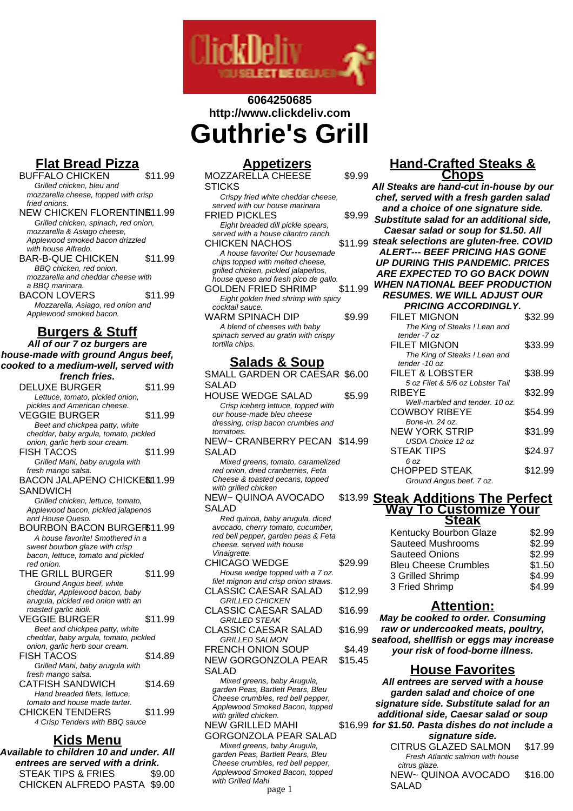

# **6064250685 http://www.clickdeliv.com Guthrie's Grill**

# **Flat Bread Pizza**

- BUFFALO CHICKEN \$11.99 Grilled chicken, bleu and mozzarella cheese, topped with crisp fried onions. NEW CHICKEN FLORENTINE 11.99 Grilled chicken, spinach, red onion, mozzarella & Asiago cheese, Applewood smoked bacon drizzled with house Alfredo. BAR-B-QUE CHICKEN \$11.99 BBQ chicken, red onion, mozzarella and cheddar cheese with a BBQ marinara. BACON LOVERS \$11.99 Mozzarella, Asiago, red onion and Applewood smoked bacon. **Burgers & Stuff All of our 7 oz burgers are house-made with ground Angus beef, cooked to a medium-well, served with french fries.**
	- DELUXE BURGER \$11.99 Lettuce, tomato, pickled onion, pickles and American cheese. VEGGIE BURGER \$11.99 Beet and chickpea patty, white cheddar, baby argula, tomato, pickled onion, garlic herb sour cream. FISH TACOS \$11.99 Grilled Mahi, baby arugula with fresh mango salsa. BACON JALAPENO CHICKE\$I11.99 **SANDWICH** Grilled chicken, lettuce, tomato, Applewood bacon, pickled jalapenos and House Queso. BOURBON BACON BURGER\$11.99 A house favorite! Smothered in a sweet bourbon glaze with crisp bacon, lettuce, tomato and pickled red onion. THE GRILL BURGER \$11.99 Ground Angus beef, white cheddar, Applewood bacon, baby arugula, pickled red onion with an roasted garlic aioli. VEGGIE BURGER
	11.99 Beet and chickpea patty, white cheddar, baby argula, tomato, pickled onion, garlic herb sour cream. FISH TACOS \$14.89 Grilled Mahi, baby arugula with fresh mango salsa
	- CATFISH SANDWICH \$14.69 Hand breaded filets, lettuce, tomato and house made tarter. CHICKEN TENDERS \$11.99 4 Crisp Tenders with BBQ sauce

### **Kids Menu**

**Available to children 10 and under. All entrees are served with a drink.** STEAK TIPS & FRIES \$9.00 CHICKEN ALFREDO PASTA \$9.00

## **Appetizers**

| <b>MOZZARELLA CHEESE</b>             | \$9.99  |
|--------------------------------------|---------|
| STICKS                               |         |
| Crispy fried white cheddar cheese,   |         |
| served with our house marinara       |         |
| <b>FRIED PICKLES</b>                 | \$9.99  |
| Eight breaded dill pickle spears,    |         |
| served with a house cilantro ranch.  |         |
| <b>CHICKEN NACHOS</b>                | \$11.99 |
| A house favorite! Our housemade      |         |
| chips topped with melted cheese,     |         |
| grilled chicken, pickled jalapeños,  |         |
| house queso and fresh pico de gallo. |         |
| <b>GOLDEN FRIED SHRIMP</b>           | \$11.99 |
| Eight golden fried shrimp with spicy |         |
| cocktail sauce.                      |         |
| WARM SPINACH DIP                     | \$9.99  |
| A blend of cheeses with baby         |         |
| spinach served au gratin with crispy |         |
| tortilla chips.                      |         |
|                                      |         |

## **Salads & Soup**

SMALL GARDEN OR CAESAR \$6.00 SALAD HOUSE WEDGE SALAD \$5.99 Crisp iceberg lettuce, topped with our house-made bleu cheese dressing, crisp bacon crumbles and tomatoes NEW~ CRANBERRY PECAN \$14.99 SALAD Mixed greens, tomato, caramelized red onion, dried cranberries, Feta Cheese & toasted pecans, topped with grilled chicken NEW~ QUINOA AVOCADO SALAD Red quinoa, baby arugula, diced avocado, cherry tomato, cucumber, red bell pepper, garden peas & Feta cheese. served with house Vinaigrette. CHICAGO WEDGE \$29.99 House wedge topped with a 7 oz. filet mignon and crisp onion straws. CLASSIC CAESAR SALAD \$12.99 GRILLED CHICKEN CLASSIC CAESAR SALAD \$16.99 GRILLED STEAK CLASSIC CAESAR SALAD \$16.99 GRILLED SALMON FRENCH ONION SOUP \$4.49 NEW GORGONZOLA PEAR SALAD \$15.45 Mixed greens, baby Arugula, garden Peas, Bartlett Pears, Bleu Cheese crumbles, red bell pepper, Applewood Smoked Bacon, topped with grilled chicken.

#### NEW GRILLED MAHI GORGONZOLA PEAR SALAD Mixed greens, baby Arugula, garden Peas, Bartlett Pears, Bleu Cheese crumbles, red bell pepper, Applewood Smoked Bacon, topped with Grilled Mahi

#### page 1

#### **Hand-Crafted Steaks & Chops**

**All Steaks are hand-cut in-house by our chef, served with a fresh garden salad and a choice of one signature side. Substitute salad for an additional side, Caesar salad or soup for \$1.50. All steak selections are gluten-free. COVID ALERT--- BEEF PRICING HAS GONE UP DURING THIS PANDEMIC. PRICES ARE EXPECTED TO GO BACK DOWN WHEN NATIONAL BEEF PRODUCTION RESUMES. WE WILL ADJUST OUR**

| <b>PRICING ACCORDINGLY.</b>      |         |
|----------------------------------|---------|
| <b>FILET MIGNON</b>              | \$32.99 |
| The King of Steaks ! Lean and    |         |
| tender -7 oz                     |         |
| <b>FILET MIGNON</b>              | \$33.99 |
| The King of Steaks! Lean and     |         |
| tender -10 oz                    |         |
| FILET & LOBSTER                  | \$38.99 |
| 5 oz Filet & 5/6 oz Lobster Tail |         |
| RIBEYE                           | \$32.99 |
| Well-marbled and tender, 10 oz.  |         |
| <b>COWBOY RIBEYE</b>             | \$54.99 |
| Bone-in, 24 oz.                  |         |
| NEW YORK STRIP                   | \$31.99 |
| USDA Choice 12 oz                |         |
| STEAK TIPS                       | \$24.97 |
| 6 oz                             |         |
| CHOPPED STEAK                    | \$12.99 |
| Ground Angus beef. 7 oz.         |         |
|                                  |         |

#### \$13.99 **Steak Additions The Perfect Way To Customize Your**

| \$2.99 |
|--------|
| \$2.99 |
| \$2.99 |
| \$1.50 |
| \$4.99 |
| \$4.99 |
|        |

### **Attention:**

**May be cooked to order. Consuming raw or undercooked meats, poultry, seafood, shellfish or eggs may increase your risk of food-borne illness.**

### **House Favorites**

\$16.99 **for \$1.50. Pasta dishes do not include a All entrees are served with a house garden salad and choice of one signature side. Substitute salad for an additional side, Caesar salad or soup signature side.** CITRUS GLAZED SALMON \$17.99 Fresh Atlantic salmon with house citrus glaze. NEW~ QUINOA AVOCADO SALAD \$16.00